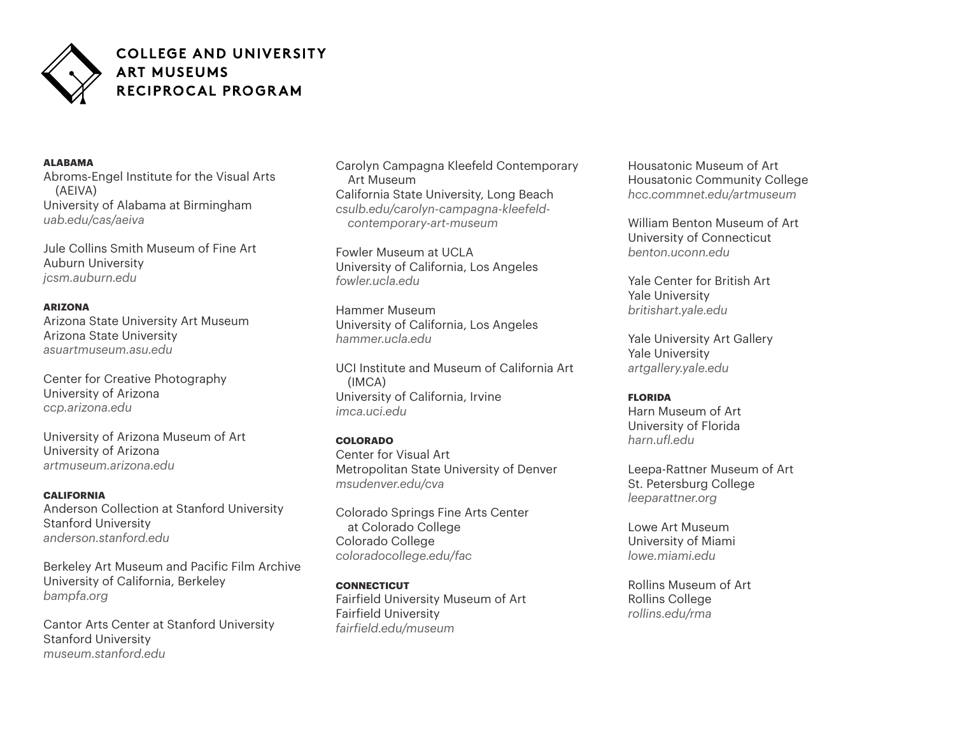

## **ALABAMA**

Abroms-Engel Institute for the Visual Arts (AEIVA) University of Alabama at Birmingham *[uab.edu/cas/aeiva](http://uab.edu/cas/aeiva)*

Jule Collins Smith Museum of Fine Art Auburn University *[jcsm.auburn.edu](http://jcsm.auburn.edu)*

## **ARIZONA**

Arizona State University Art Museum Arizona State University *[asuartmuseum.asu.edu](http://asuartmuseum.asu.edu)*

Center for Creative Photography University of Arizona *[ccp.arizona.edu](http://ccp.arizona.edu)*

University of Arizona Museum of Art University of Arizona *[artmuseum.arizona.edu](http://artmuseum.arizona.edu)*

**CALIFORNIA** Anderson Collection at Stanford University Stanford University *[anderson.stanford.edu](http://anderson.stanford.edu)*

Berkeley Art Museum and Pacific Film Archive University of California, Berkeley *[bampfa.org](http://bampfa.org)*

Cantor Arts Center at Stanford University Stanford University *[museum.stanford.edu](http://museum.stanford.edu)*

Carolyn Campagna Kleefeld Contemporary Art Museum California State University, Long Beach *[csulb.edu/carolyn-campagna-kleefeld](https://www.csulb.edu/carolyn-campagna-kleefeld-contemporary-art-museum)[contemporary-art-museum](https://www.csulb.edu/carolyn-campagna-kleefeld-contemporary-art-museum)*

Fowler Museum at UCLA University of California, Los Angeles *[fowler.ucla.edu](http://fowler.ucla.edu)*

Hammer Museum University of California, Los Angeles *[hammer.ucla.edu](http://hammer.ucla.edu)*

UCI Institute and Museum of California Art (IMCA) University of California, Irvine *[imca.uci.edu](http://imca.uci.edu)*

# **COLORADO**

Center for Visual Art Metropolitan State University of Denver *[msudenver.edu/cva](http://msudenver.edu/cva)*

Colorado Springs Fine Arts Center at Colorado College Colorado College *[coloradocollege.edu/fac](http://coloradocollege.edu/fac)*

**CONNECTICUT** Fairfield University Museum of Art Fairfield University *[fairfield.edu/museum](http://fairfield.edu/museum)*

Housatonic Museum of Art Housatonic Community College *[hcc.commnet.edu/artmuseum](http://hcc.commnet.edu/artmuseum)*

William Benton Museum of Art University of Connecticut *[benton.uconn.edu](http://benton.uconn.edu)*

Yale Center for British Art Yale University *[britishart.yale.edu](http://britishart.yale.edu)*

Yale University Art Gallery Yale University *[artgallery.yale.edu](http://artgallery.yale.edu)*

## **FLORIDA**

Harn Museum of Art University of Florida *[harn.ufl.edu](http://harn.ufl.edu)*

Leepa-Rattner Museum of Art St. Petersburg College *[leeparattner.org](http://leeparattner.org)*

Lowe Art Museum University of Miami *[lowe.miami.edu](http://lowe.miami.edu)*

Rollins Museum of Art Rollins College *[rollins.edu/rma](https://web.rollins.edu/rma/)*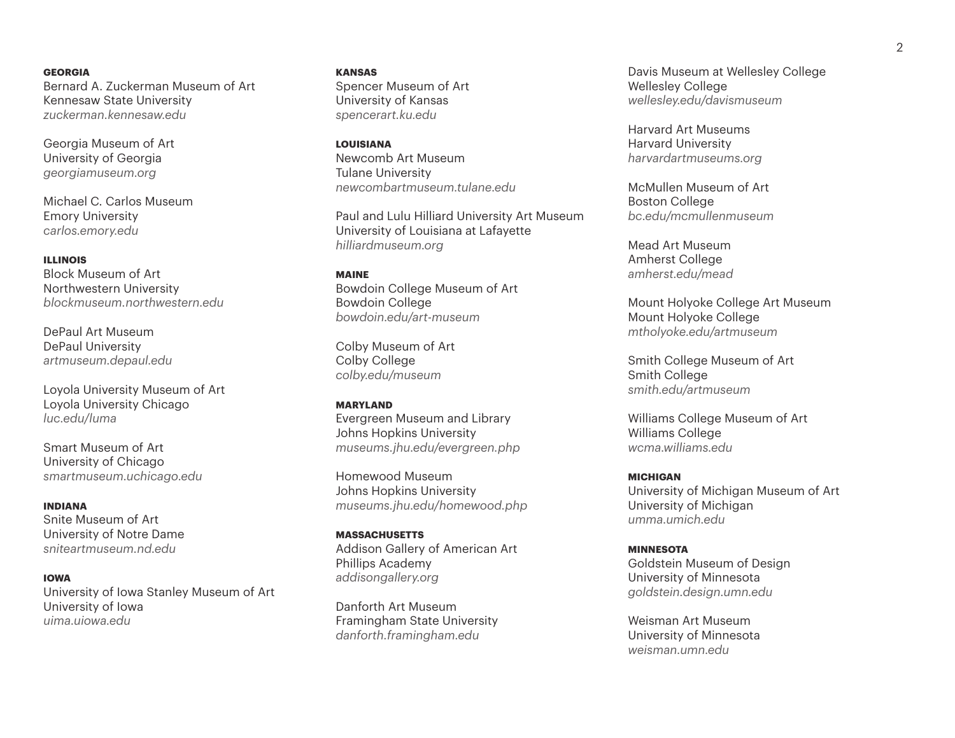#### **GEORGIA**

Bernard A. Zuckerman Museum of Art Kennesaw State University *[zuckerman.kennesaw.edu](http://zuckerman.kennesaw.edu)*

Georgia Museum of Art University of Georgia *[georgiamuseum.org](http://georgiamuseum.org)*

Michael C. Carlos Museum Emory University *[carlos.emory.edu](http://www.carlos.emory.edu)*

### **ILLINOIS**

Block Museum of Art Northwestern University *[blockmuseum.northwestern.edu](http://blockmuseum.northwestern.edu)*

DePaul Art Museum DePaul University *[artmuseum.depaul.edu](http://artmuseum.depaul.edu)*

Loyola University Museum of Art Loyola University Chicago *[luc.edu/luma](http://www.luc.edu/luma)*

Smart Museum of Art University of Chicago *[smartmuseum.uchicago.edu](http://smartmuseum.uchicago.edu)*

**INDIANA** Snite Museum of Art University of Notre Dame *[sniteartmuseum.nd.edu](http://sniteartmuseum.nd.edu)*

**IOWA** University of Iowa Stanley Museum of Art University of Iowa *[uima.uiowa.edu](http://uima.uiowa.edu)*

**KANSAS** Spencer Museum of Art University of Kansas *[spencerart.ku.edu](http://spencerart.ku.edu)*

**LOUISIANA** Newcomb Art Museum Tulane University *[newcombartmuseum.tulane.edu](http://newcombartmuseum.tulane.edu)*

Paul and Lulu Hilliard University Art Museum University of Louisiana at Lafayette *[hilliardmuseum.org](http://hilliardmuseum.org)*

#### **MAINE**

Bowdoin College Museum of Art Bowdoin College *[bowdoin.edu/art-museum](http://www.bowdoin.edu/art-museum)*

Colby Museum of Art Colby College *[colby.edu/museum](http://colby.edu/museum)*

#### **MARYLAND**

Evergreen Museum and Library Johns Hopkins University *[museums.jhu.edu/evergreen.php](http://www.museums.jhu.edu/evergreen.php)* 

Homewood Museum Johns Hopkins University *[museums.jhu.edu/homewood.php](http://www.museums.jhu.edu/homewood.php)*

**MASSACHUSETTS** Addison Gallery of American Art Phillips Academy *[addisongallery.org](http://addisongallery.org)*

Danforth Art Museum Framingham State University *[danforth.framingham.edu](http://danforth.framingham.edu)*

Davis Museum at Wellesley College Wellesley College *[wellesley.edu/davismuseum](http://wellesley.edu/davismuseum)*

Harvard Art Museums Harvard University *[harvardartmuseums.org](https://harvardartmuseums.org/)*

McMullen Museum of Art Boston College *[bc.edu/mcmullenmuseum](http://bc.edu/mcmullenmuseum)*

Mead Art Museum Amherst College *[amherst.edu/mead](http://amherst.edu/mead)*

Mount Holyoke College Art Museum Mount Holyoke College *[mtholyoke.edu/artmuseum](http://www.mtholyoke.edu/artmuseum)*

Smith College Museum of Art Smith College *[smith.edu/artmuseum](http://smith.edu/artmuseum)*

Williams College Museum of Art Williams College *[wcma.williams.edu](http://wcma.williams.edu)*

**MICHIGAN** University of Michigan Museum of Art University of Michigan *[umma.umich.edu](http://umma.umich.edu)*

**MINNESOTA**  Goldstein Museum of Design University of Minnesota *[goldstein.design.umn.edu](http://goldstein.design.umn.edu)*

Weisman Art Museum University of Minnesota *[weisman.umn.edu](http://weisman.umn.edu)*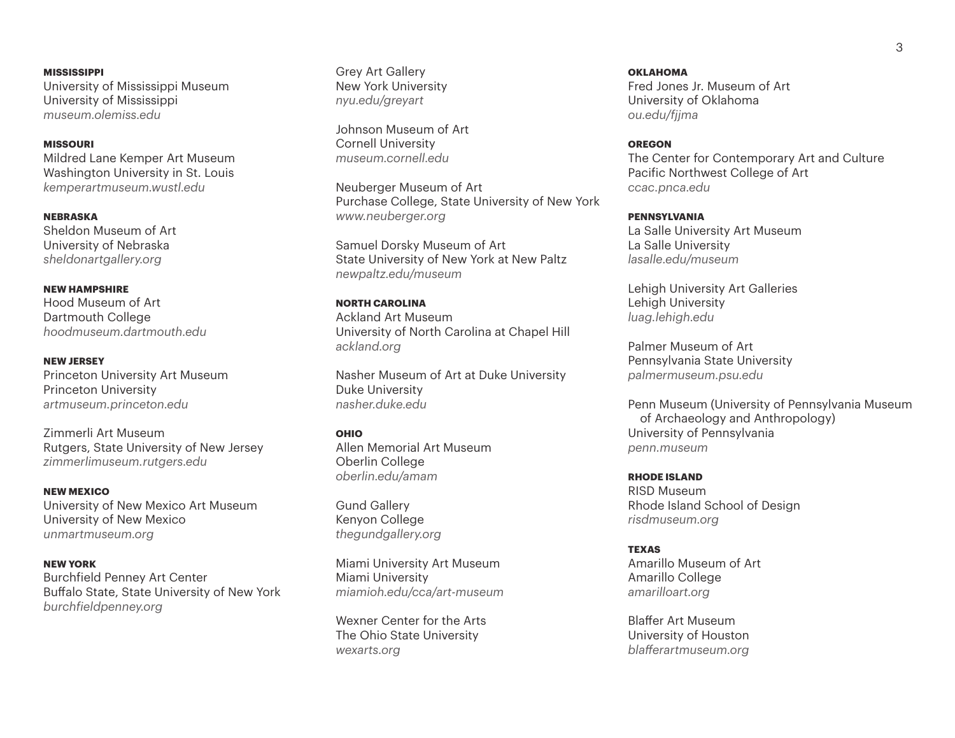**MISSISSIPPI**  University of Mississippi Museum University of Mississippi *[museum.olemiss.edu](http://museum.olemiss.edu)* 

**MISSOURI**  Mildred Lane Kemper Art Museum Washington University in St. Louis *[kemperartmuseum.wustl.edu](http://kemperartmuseum.wustl.edu)* 

**NEBRASKA**  Sheldon Museum of Art University of Nebraska *[sheldonartgallery.org](http://sheldonartgallery.org)*

**NEW HAMPSHIRE**  Hood Museum of Art Dartmouth College *[hoodmuseum.dartmouth.edu](http://hoodmuseum.dartmouth.edu)*

**NEW JERSEY**  Princeton University Art Museum Princeton University *[artmuseum.princeton.edu](http://artmuseum.princeton.edu)*

Zimmerli Art Museum Rutgers, State University of New Jersey *[zimmerlimuseum.rutgers.edu](http://www.zimmerlimuseum.rutgers.edu)* 

**NEW MEXICO**  University of New Mexico Art Museum University of New Mexico *[unmartmuseum.o](http://unmartmuseum.unm.edu)rg*

**NEW YORK**  Burchfield Penney Art Center Buffalo State, State University of New York *[burchfieldpenney.org](http://burchfieldpenney.org)*

Grey Art Gallery New York University *[nyu.edu/greyart](http://nyu.edu/greyart)*

Johnson Museum of Art Cornell University *[museum.cornell.edu](http://museum.cornell.edu)* 

Neuberger Museum of Art Purchase College, State University of New York *www.[neuberger.org](http://neuberger.org)*

Samuel Dorsky Museum of Art State University of New York at New Paltz *[newpaltz.edu/museum](http://newpaltz.edu/museum)*

**NORTH CAROLINA**  Ackland Art Museum University of North Carolina at Chapel Hill *[ackland.org](http://ackland.org)*

Nasher Museum of Art at Duke University Duke University *[nasher.duke.edu](http://www.nasher.duke.edu)* 

**OHIO**  Allen Memorial Art Museum Oberlin College *[oberlin.edu/amam](http://oberlin.edu/amam)*

Gund Gallery Kenyon College *[thegundgallery.org](http://thegundgallery.org)*

Miami University Art Museum Miami University *[miamioh.edu/cca/art-museum](http://miamioh.edu/cca/art-museum)*

Wexner Center for the Arts The Ohio State University *[wexarts.org](https://wexarts.org/)*

**OKLAHOMA** Fred Jones Jr. Museum of Art University of Oklahoma *[ou.edu/fjjma](http://ou.edu/fjjma)*

**OREGON** The Center for Contemporary Art and Culture Pacific Northwest College of Art *[ccac.pnca.edu](http://ccac.pnca.edu)*

## **PENNSYLVANIA**  La Salle University Art Museum La Salle University *[lasalle.edu/museum](http://lasalle.edu/museum)*

Lehigh University Art Galleries Lehigh University *[luag.lehigh.edu](https://luag.lehigh.edu
)*

Palmer Museum of Art Pennsylvania State University *[palmermuseum.psu.edu](http://palmermuseum.psu.edu)*

Penn Museum (University of Pennsylvania Museum of Archaeology and Anthropology) University of Pennsylvania *[penn.museum](http://penn.museum)*

**RHODE ISLAND** RISD Museum Rhode Island School of Design *[risdmuseum.org](http://risdmuseum.org)*

**TEXAS**  Amarillo Museum of Art Amarillo College *[amarilloart.org](http://amarilloart.org)*

Blaffer Art Museum University of Houston *[blafferartmuseum.org](http://blafferartmuseum.org)*